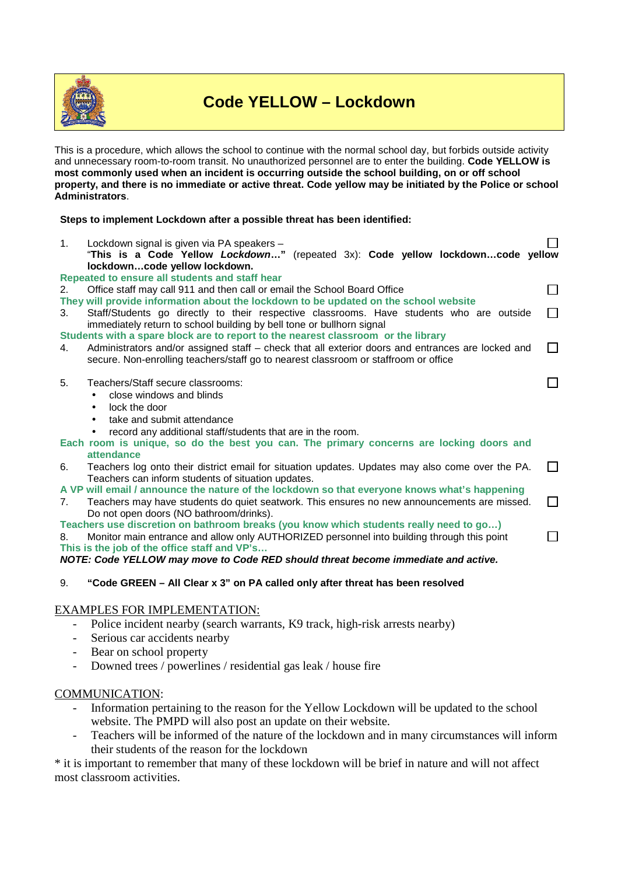

# **Code YELLOW – Lockdown**

This is a procedure, which allows the school to continue with the normal school day, but forbids outside activity and unnecessary room-to-room transit. No unauthorized personnel are to enter the building. **Code YELLOW is most commonly used when an incident is occurring outside the school building, on or off school property, and there is no immediate or active threat. Code yellow may be initiated by the Police or school Administrators**.

# **Steps to implement Lockdown after a possible threat has been identified:**

1. Lockdown signal is given via PA speakers – П "**This is a Code Yellow Lockdown…"** (repeated 3x): **Code yellow lockdown…code yellow lockdown…code yellow lockdown. Repeated to ensure all students and staff hear**

 $\Box$ 

 $\Box$ 

 $\Box$ 

#### 2. Office staff may call 911 and then call or email the School Board Office

- **They will provide information about the lockdown to be updated on the school website**
- 3. Staff/Students go directly to their respective classrooms. Have students who are outside  $\Box$ immediately return to school building by bell tone or bullhorn signal

#### **Students with a spare block are to report to the nearest classroom or the library**

4. Administrators and/or assigned staff – check that all exterior doors and entrances are locked and  $\Box$ secure. Non-enrolling teachers/staff go to nearest classroom or staffroom or office

#### 5. Teachers/Staff secure classrooms:

- close windows and blinds
- lock the door
- take and submit attendance
- record any additional staff/students that are in the room.
- **Each room is unique, so do the best you can. The primary concerns are locking doors and attendance**
- 6. Teachers log onto their district email for situation updates. Updates may also come over the PA. П Teachers can inform students of situation updates.
- **A VP will email / announce the nature of the lockdown so that everyone knows what's happening**
- 7. Teachers may have students do quiet seatwork. This ensures no new announcements are missed.  $\Box$ Do not open doors (NO bathroom/drinks).
- **Teachers use discretion on bathroom breaks (you know which students really need to go…)**

8. Monitor main entrance and allow only AUTHORIZED personnel into building through this point **This is the job of the office staff and VP's…**

**NOTE: Code YELLOW may move to Code RED should threat become immediate and active.** 

# 9. **"Code GREEN – All Clear x 3" on PA called only after threat has been resolved**

# EXAMPLES FOR IMPLEMENTATION:

- Police incident nearby (search warrants, K9 track, high-risk arrests nearby)
- Serious car accidents nearby
- Bear on school property
- Downed trees / powerlines / residential gas leak / house fire

# COMMUNICATION:

- Information pertaining to the reason for the Yellow Lockdown will be updated to the school website. The PMPD will also post an update on their website.
- Teachers will be informed of the nature of the lockdown and in many circumstances will inform their students of the reason for the lockdown

\* it is important to remember that many of these lockdown will be brief in nature and will not affect most classroom activities.